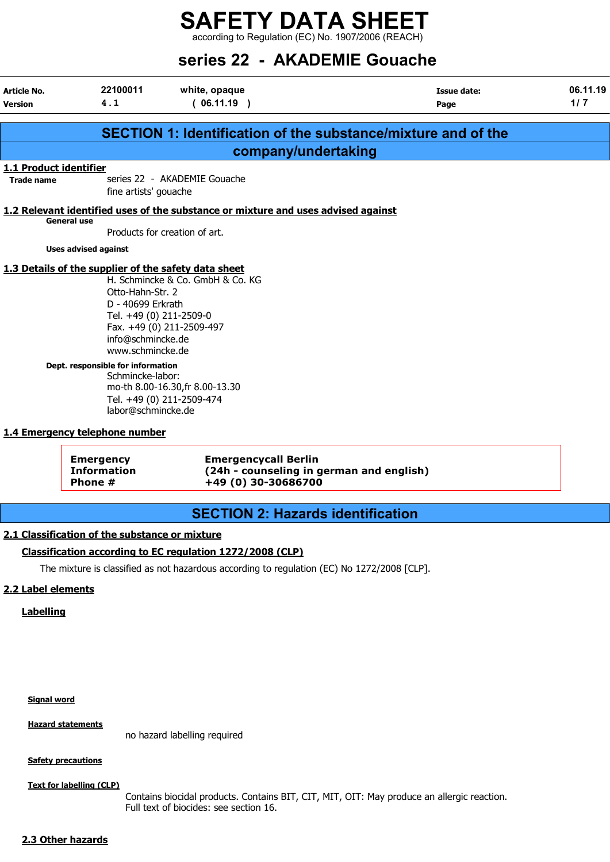according to Regulation (EC) No. 1907/2006 (REACH)

|                                      |                                                                                                                                                                                                                            |                                                                                                  | series 22 - AKADEMIE Gouache                                  |                 |
|--------------------------------------|----------------------------------------------------------------------------------------------------------------------------------------------------------------------------------------------------------------------------|--------------------------------------------------------------------------------------------------|---------------------------------------------------------------|-----------------|
| <b>Article No.</b><br><b>Version</b> | 22100011<br>4.1                                                                                                                                                                                                            | white, opaque<br>(06.11.19)                                                                      | Issue date:<br>Page                                           | 06.11.19<br>1/7 |
|                                      |                                                                                                                                                                                                                            |                                                                                                  | SECTION 1: Identification of the substance/mixture and of the |                 |
|                                      |                                                                                                                                                                                                                            |                                                                                                  | company/undertaking                                           |                 |
| 1.1 Product identifier               |                                                                                                                                                                                                                            |                                                                                                  |                                                               |                 |
| <b>Trade name</b>                    | fine artists' gouache                                                                                                                                                                                                      | series 22 - AKADEMIE Gouache                                                                     |                                                               |                 |
|                                      |                                                                                                                                                                                                                            | 1.2 Relevant identified uses of the substance or mixture and uses advised against                |                                                               |                 |
|                                      | <b>General use</b>                                                                                                                                                                                                         | Products for creation of art.                                                                    |                                                               |                 |
|                                      | <b>Uses advised against</b>                                                                                                                                                                                                |                                                                                                  |                                                               |                 |
|                                      | 1.3 Details of the supplier of the safety data sheet<br>Otto-Hahn-Str. 2<br>D - 40699 Erkrath<br>Tel. +49 (0) 211-2509-0<br>info@schmincke.de<br>www.schmincke.de<br>Dept. responsible for information<br>Schmincke-labor: | H. Schmincke & Co. GmbH & Co. KG<br>Fax. +49 (0) 211-2509-497<br>mo-th 8.00-16.30, fr 8.00-13.30 |                                                               |                 |
|                                      | labor@schmincke.de                                                                                                                                                                                                         | Tel. +49 (0) 211-2509-474                                                                        |                                                               |                 |
|                                      | 1.4 Emergency telephone number                                                                                                                                                                                             |                                                                                                  |                                                               |                 |
|                                      | <b>Emergency</b><br><b>Information</b><br>Phone #                                                                                                                                                                          | <b>Emergencycall Berlin</b><br>+49 (0) 30-30686700                                               | (24h - counseling in german and english)                      |                 |

## SECTION 2: Hazards identification

#### 2.1 Classification of the substance or mixture

#### Classification according to EC regulation 1272/2008 (CLP)

The mixture is classified as not hazardous according to regulation (EC) No 1272/2008 [CLP].

#### 2.2 Label elements

#### Labelling

#### Signal word

Hazard statements

no hazard labelling required

#### **Safety precautions**

Text for labelling (CLP)

Contains biocidal products. Contains BIT, CIT, MIT, OIT: May produce an allergic reaction. Full text of biocides: see section 16.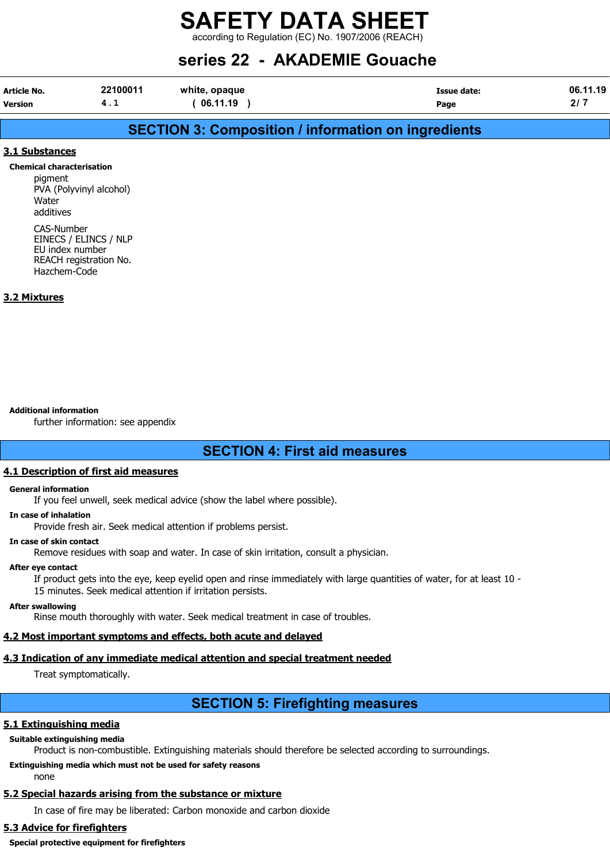according to Regulation (EC) No. 1907/2006 (REACH)

## series 22 - AKADEMIE Gouache

| <b>Article No.</b> | 22100011 | white, opaque | Issue date: | .11.19<br>06. |
|--------------------|----------|---------------|-------------|---------------|
| Version            | . .      | 06.11.19      | Page        | 41            |

### SECTION 3: Composition / information on ingredients

#### 3.1 Substances

#### Chemical characterisation

pigment PVA (Polyvinyl alcohol) Water additives

CAS-Number EINECS / ELINCS / NLP EU index number REACH registration No. Hazchem-Code

#### 3.2 Mixtures

Additional information

further information: see appendix

#### SECTION 4: First aid measures

#### 4.1 Description of first aid measures

#### General information

If you feel unwell, seek medical advice (show the label where possible).

#### In case of inhalation

Provide fresh air. Seek medical attention if problems persist.

#### In case of skin contact

Remove residues with soap and water. In case of skin irritation, consult a physician.

#### After eye contact

If product gets into the eye, keep eyelid open and rinse immediately with large quantities of water, for at least 10 - 15 minutes. Seek medical attention if irritation persists.

#### After swallowing

Rinse mouth thoroughly with water. Seek medical treatment in case of troubles.

#### 4.2 Most important symptoms and effects, both acute and delayed

#### 4.3 Indication of any immediate medical attention and special treatment needed

Treat symptomatically.

## SECTION 5: Firefighting measures

#### 5.1 Extinguishing media

#### Suitable extinguishing media

Product is non-combustible. Extinguishing materials should therefore be selected according to surroundings.

#### Extinguishing media which must not be used for safety reasons

none

#### 5.2 Special hazards arising from the substance or mixture

In case of fire may be liberated: Carbon monoxide and carbon dioxide

#### 5.3 Advice for firefighters

Special protective equipment for firefighters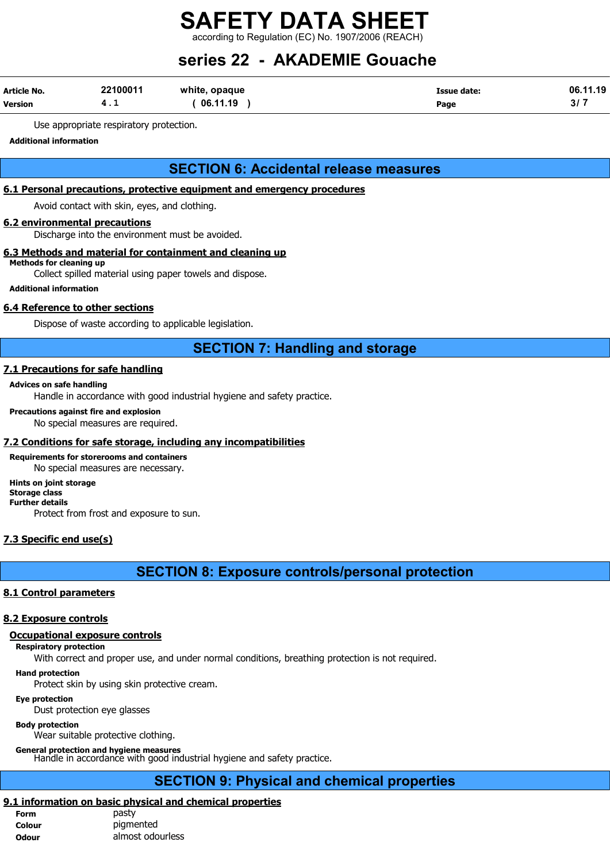according to Regulation (EC) No. 1907/2006 (REACH)

## series 22 - AKADEMIE Gouache

| Article No.    | 22100011 | white, opaque | Issue date: | .11.19<br>06. |
|----------------|----------|---------------|-------------|---------------|
| <b>Version</b> |          | 06.11.19      | Page        | VI.           |

Use appropriate respiratory protection.

Additional information

### SECTION 6: Accidental release measures

#### 6.1 Personal precautions, protective equipment and emergency procedures

Avoid contact with skin, eyes, and clothing.

#### 6.2 environmental precautions

Discharge into the environment must be avoided.

#### 6.3 Methods and material for containment and cleaning up

Methods for cleaning up

Collect spilled material using paper towels and dispose.

Additional information

#### 6.4 Reference to other sections

Dispose of waste according to applicable legislation.

### SECTION 7: Handling and storage

#### 7.1 Precautions for safe handling

#### Advices on safe handling

Handle in accordance with good industrial hygiene and safety practice.

#### Precautions against fire and explosion

No special measures are required.

#### 7.2 Conditions for safe storage, including any incompatibilities

#### Requirements for storerooms and containers No special measures are necessary.

#### Hints on joint storage Storage class

Further details

Protect from frost and exposure to sun.

#### 7.3 Specific end use(s)

SECTION 8: Exposure controls/personal protection

#### 8.1 Control parameters

#### 8.2 Exposure controls

#### Occupational exposure controls

#### Respiratory protection

With correct and proper use, and under normal conditions, breathing protection is not required.

#### Hand protection

Protect skin by using skin protective cream.

#### Eye protection

Dust protection eye glasses

#### Body protection

Wear suitable protective clothing.

General protection and hygiene measures Handle in accordance with good industrial hygiene and safety practice.

## SECTION 9: Physical and chemical properties

## 9.1 information on basic physical and chemical properties

| <b>Form</b> | pasty            |
|-------------|------------------|
| Colour      | pigmented        |
| Odour       | almost odourless |
|             |                  |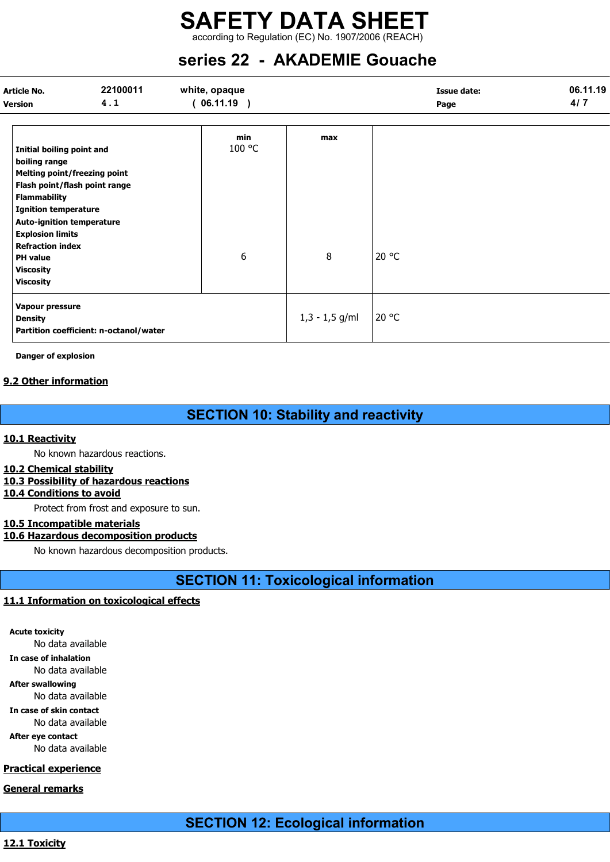according to Regulation (EC) No. 1907/2006 (REACH)

## series 22 - AKADEMIE Gouache

| <b>Article No.</b><br><b>Version</b>                                                                                                                                                                                                                                                         | 22100011<br>4.1                        | white, opaque<br>(06.11.19) |                  | <b>Issue date:</b><br>Page | 06.11.19<br>4/7 |
|----------------------------------------------------------------------------------------------------------------------------------------------------------------------------------------------------------------------------------------------------------------------------------------------|----------------------------------------|-----------------------------|------------------|----------------------------|-----------------|
| Initial boiling point and<br>boiling range<br><b>Melting point/freezing point</b><br><b>Flammability</b><br><b>Ignition temperature</b><br><b>Auto-ignition temperature</b><br><b>Explosion limits</b><br><b>Refraction index</b><br><b>PH</b> value<br><b>Viscosity</b><br><b>Viscosity</b> | Flash point/flash point range          | min<br>100 °C<br>6          | max<br>8         | 20 °C                      |                 |
| Vapour pressure<br><b>Density</b>                                                                                                                                                                                                                                                            | Partition coefficient: n-octanol/water |                             | $1,3 - 1,5$ g/ml | 20 °C                      |                 |

Danger of explosion

#### 9.2 Other information

### SECTION 10: Stability and reactivity

#### 10.1 Reactivity

No known hazardous reactions.

#### 10.2 Chemical stability

#### 10.3 Possibility of hazardous reactions

#### 10.4 Conditions to avoid

Protect from frost and exposure to sun.

#### 10.5 Incompatible materials

#### 10.6 Hazardous decomposition products

No known hazardous decomposition products.

### SECTION 11: Toxicological information

#### 11.1 Information on toxicological effects

Acute toxicity No data available In case of inhalation No data available After swallowing No data available In case of skin contact No data available After eye contact No data available

#### Practical experience

#### General remarks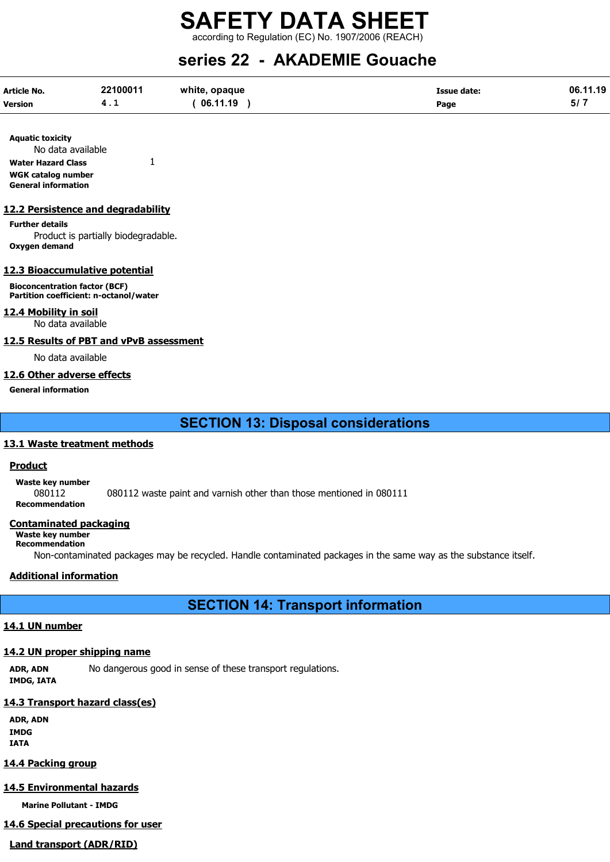according to Regulation (EC) No. 1907/2006 (REACH)

## series 22 - AKADEMIE Gouache

| <b>Article No.</b> | 22100011 | white, opaque | <b>Issue date:</b> | 06.11.19 |
|--------------------|----------|---------------|--------------------|----------|
| <b>Version</b>     | 4. L     | 06.11.19      | Page               | - 57 -   |

Aquatic toxicity No data available Water Hazard Class 1 WGK catalog number General information

#### 12.2 Persistence and degradability

Further details Product is partially biodegradable. Oxygen demand

#### 12.3 Bioaccumulative potential

Bioconcentration factor (BCF) Partition coefficient: n-octanol/water

#### 12.4 Mobility in soil

No data available

#### 12.5 Results of PBT and vPvB assessment

No data available

#### 12.6 Other adverse effects

General information

#### SECTION 13: Disposal considerations

#### 13.1 Waste treatment methods

#### Product

Waste key number

080112 080112 waste paint and varnish other than those mentioned in 080111

## Recommendation

#### Contaminated packaging

Waste key number Recommendation

Non-contaminated packages may be recycled. Handle contaminated packages in the same way as the substance itself.

#### Additional information

### SECTION 14: Transport information

#### 14.1 UN number

#### 14.2 UN proper shipping name

ADR, ADN No dangerous good in sense of these transport regulations. IMDG, IATA

#### 14.3 Transport hazard class(es)

ADR, ADN IMDG IATA

#### 14.4 Packing group

#### 14.5 Environmental hazards

Marine Pollutant - IMDG

## 14.6 Special precautions for user

Land transport (ADR/RID)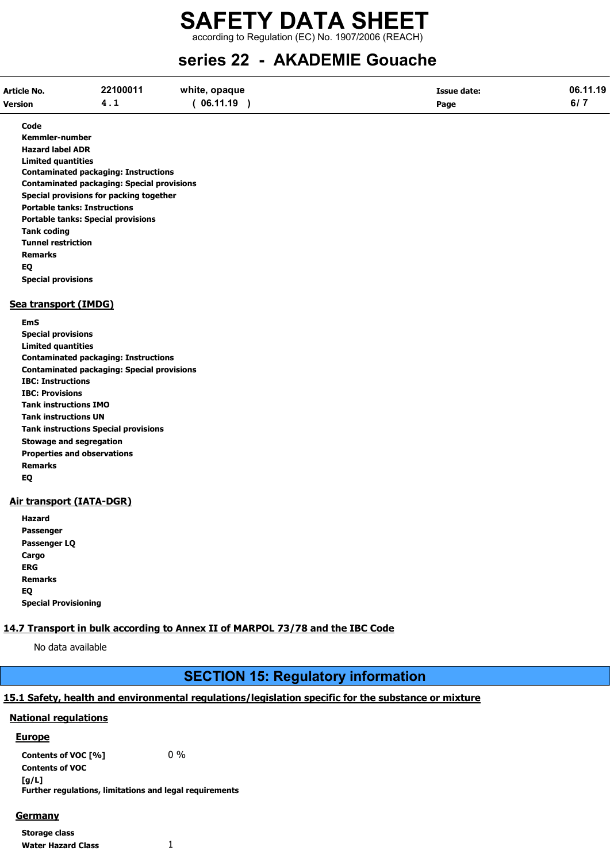according to Regulation (EC) No. 1907/2006 (REACH)

## series 22 - AKADEMIE Gouache

| Article No.    | 22100011 | white, opaque | Issue date: | 06.11.19 |
|----------------|----------|---------------|-------------|----------|
| <b>Version</b> | 4. L     | 06.11.19      | Page        | 6/7      |

Code

Kemmler-number Hazard label ADR Limited quantities Contaminated packaging: Instructions Contaminated packaging: Special provisions Special provisions for packing together Portable tanks: Instructions Portable tanks: Special provisions Tank coding Tunnel restriction Remarks EQ Special provisions

#### Sea transport (IMDG)

EmS Special provisions Limited quantities Contaminated packaging: Instructions Contaminated packaging: Special provisions IBC: Instructions IBC: Provisions Tank instructions IMO Tank instructions UN Tank instructions Special provisions Stowage and segregation Properties and observations Remarks EQ

#### Air transport (IATA-DGR)

Hazard Passenger Passenger LQ **Cargo** ERG Remarks EQ Special Provisioning

#### 14.7 Transport in bulk according to Annex II of MARPOL 73/78 and the IBC Code

No data available

### SECTION 15: Regulatory information

#### 15.1 Safety, health and environmental regulations/legislation specific for the substance or mixture

#### National regulations

#### Europe

Contents of VOC  $[\%]$  0 % Contents of VOC [g/L] Further regulations, limitations and legal requirements

Germany

Storage class Water Hazard Class 1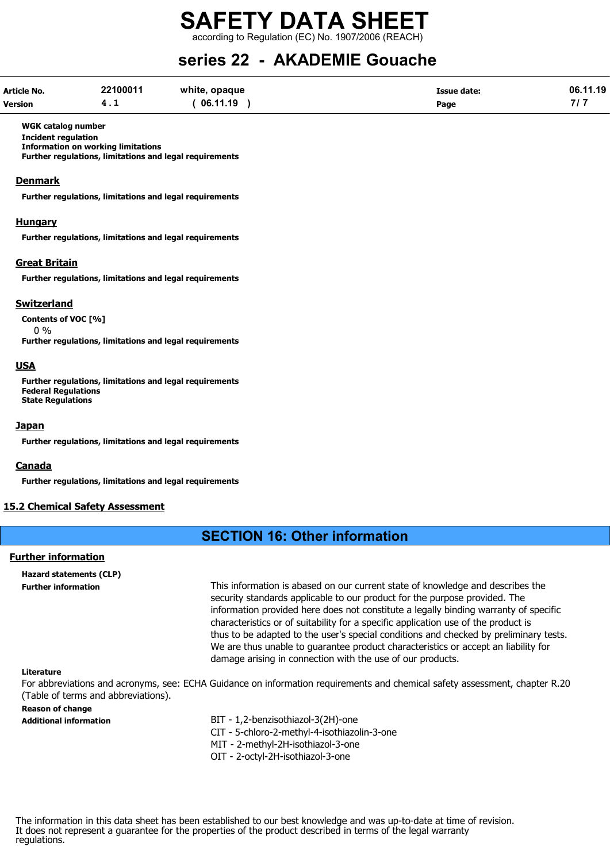according to Regulation (EC) No. 1907/2006 (REACH)

## series 22 - AKADEMIE Gouache

| Article No.    | 22100011 | white, opaque | <b>Issue date:</b> | 06.11.19 |
|----------------|----------|---------------|--------------------|----------|
| <b>Version</b> | 4.1      | 06.11.19      | Page               |          |

#### WGK catalog number

Incident regulation Information on working limitations

Further regulations, limitations and legal requirements

#### Denmark

Further regulations, limitations and legal requirements

#### **Hungary**

Further regulations, limitations and legal requirements

#### Great Britain

Further regulations, limitations and legal requirements

#### **Switzerland**

Contents of VOC [%]

 $0 %$ Further regulations, limitations and legal requirements

#### USA

Further regulations, limitations and legal requirements Federal Regulations State Regulations

#### Japan

Further regulations, limitations and legal requirements

#### Canada

Further regulations, limitations and legal requirements

#### 15.2 Chemical Safety Assessment

#### SECTION 16: Other information

#### Further information

Hazard statements (CLP)

Further information This information is abased on our current state of knowledge and describes the security standards applicable to our product for the purpose provided. The information provided here does not constitute a legally binding warranty of specific characteristics or of suitability for a specific application use of the product is thus to be adapted to the user's special conditions and checked by preliminary tests. We are thus unable to guarantee product characteristics or accept an liability for damage arising in connection with the use of our products.

#### Literature

For abbreviations and acronyms, see: ECHA Guidance on information requirements and chemical safety assessment, chapter R.20 (Table of terms and abbreviations).

#### Reason of change

- Additional information BIT 1,2-benzisothiazol-3(2H)-one
	- CIT 5-chloro-2-methyl-4-isothiazolin-3-one
	- MIT 2-methyl-2H-isothiazol-3-one
	- OIT 2-octyl-2H-isothiazol-3-one

The information in this data sheet has been established to our best knowledge and was up-to-date at time of revision. It does not represent a guarantee for the properties of the product described in terms of the legal warranty regulations.